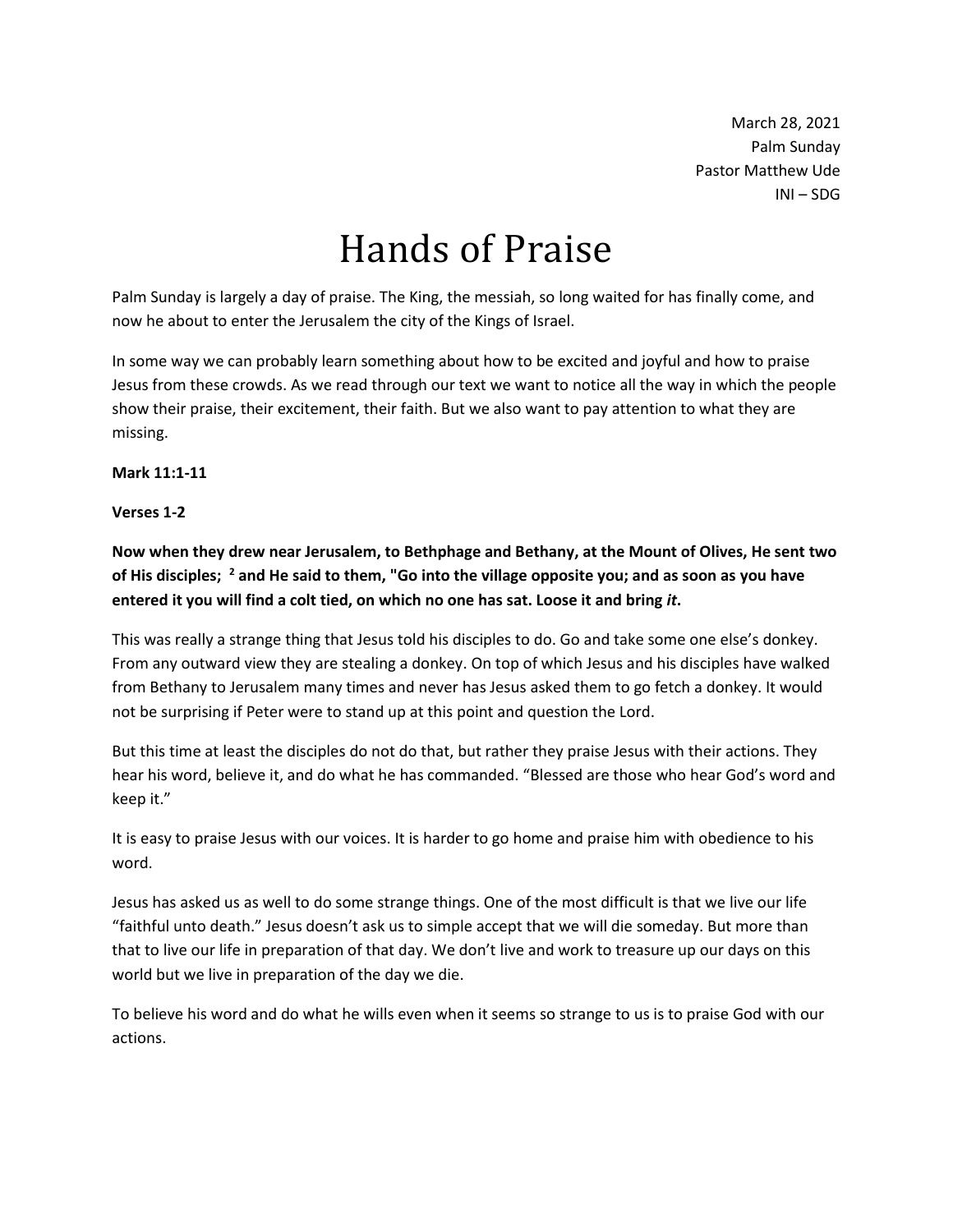March 28, 2021 Palm Sunday Pastor Matthew Ude INI – SDG

# Hands of Praise

Palm Sunday is largely a day of praise. The King, the messiah, so long waited for has finally come, and now he about to enter the Jerusalem the city of the Kings of Israel.

In some way we can probably learn something about how to be excited and joyful and how to praise Jesus from these crowds. As we read through our text we want to notice all the way in which the people show their praise, their excitement, their faith. But we also want to pay attention to what they are missing.

**Mark 11:1-11**

### **Verses 1-2**

**Now when they drew near Jerusalem, to Bethphage and Bethany, at the Mount of Olives, He sent two of His disciples; <sup>2</sup> and He said to them, "Go into the village opposite you; and as soon as you have entered it you will find a colt tied, on which no one has sat. Loose it and bring** *it***.** 

This was really a strange thing that Jesus told his disciples to do. Go and take some one else's donkey. From any outward view they are stealing a donkey. On top of which Jesus and his disciples have walked from Bethany to Jerusalem many times and never has Jesus asked them to go fetch a donkey. It would not be surprising if Peter were to stand up at this point and question the Lord.

But this time at least the disciples do not do that, but rather they praise Jesus with their actions. They hear his word, believe it, and do what he has commanded. "Blessed are those who hear God's word and keep it."

It is easy to praise Jesus with our voices. It is harder to go home and praise him with obedience to his word.

Jesus has asked us as well to do some strange things. One of the most difficult is that we live our life "faithful unto death." Jesus doesn't ask us to simple accept that we will die someday. But more than that to live our life in preparation of that day. We don't live and work to treasure up our days on this world but we live in preparation of the day we die.

To believe his word and do what he wills even when it seems so strange to us is to praise God with our actions.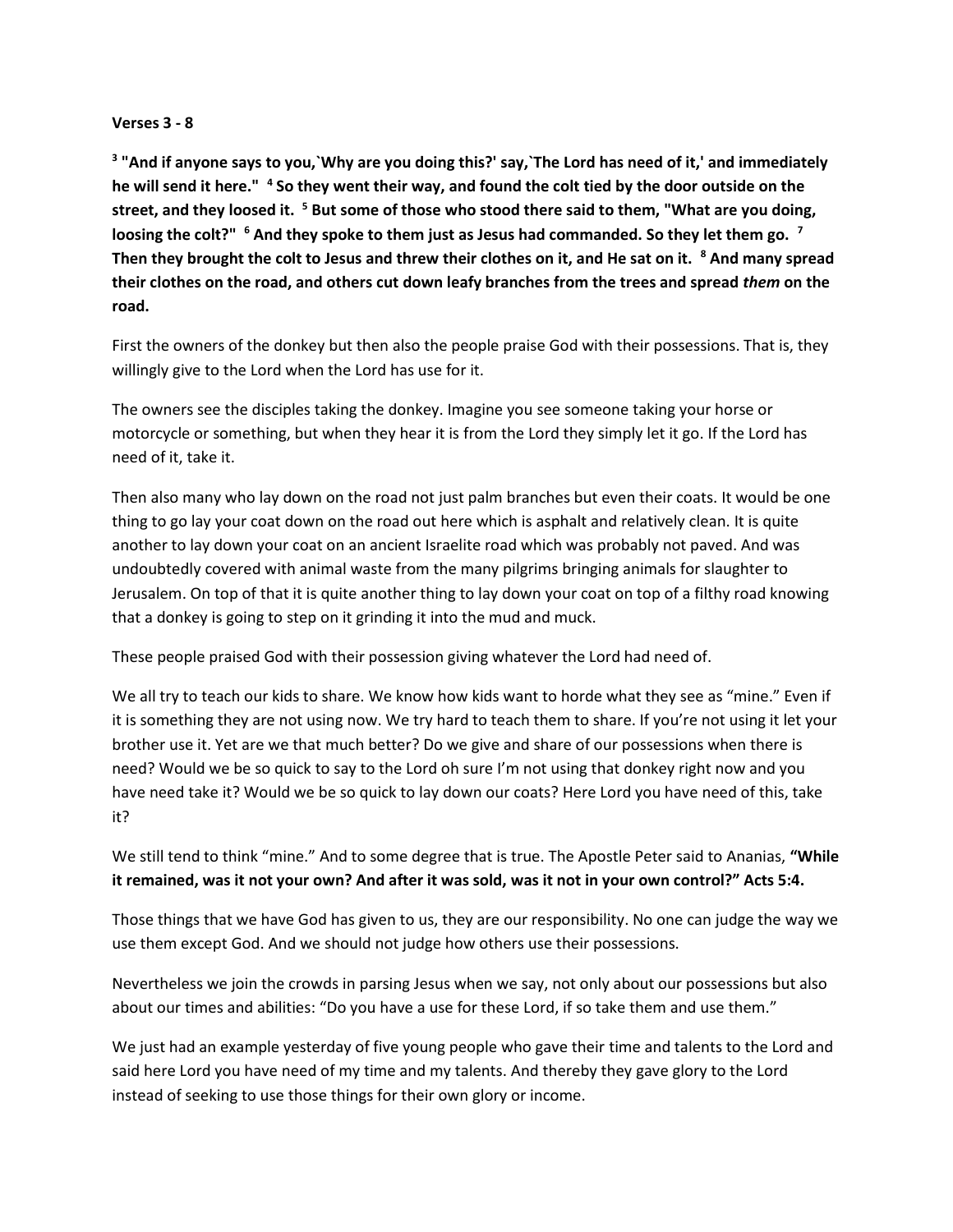#### **Verses 3 - 8**

**3 "And if anyone says to you,`Why are you doing this?' say,`The Lord has need of it,' and immediately he will send it here." <sup>4</sup> So they went their way, and found the colt tied by the door outside on the street, and they loosed it. <sup>5</sup> But some of those who stood there said to them, "What are you doing, loosing the colt?" <sup>6</sup> And they spoke to them just as Jesus had commanded. So they let them go. <sup>7</sup> Then they brought the colt to Jesus and threw their clothes on it, and He sat on it. <sup>8</sup> And many spread their clothes on the road, and others cut down leafy branches from the trees and spread** *them* **on the road.** 

First the owners of the donkey but then also the people praise God with their possessions. That is, they willingly give to the Lord when the Lord has use for it.

The owners see the disciples taking the donkey. Imagine you see someone taking your horse or motorcycle or something, but when they hear it is from the Lord they simply let it go. If the Lord has need of it, take it.

Then also many who lay down on the road not just palm branches but even their coats. It would be one thing to go lay your coat down on the road out here which is asphalt and relatively clean. It is quite another to lay down your coat on an ancient Israelite road which was probably not paved. And was undoubtedly covered with animal waste from the many pilgrims bringing animals for slaughter to Jerusalem. On top of that it is quite another thing to lay down your coat on top of a filthy road knowing that a donkey is going to step on it grinding it into the mud and muck.

These people praised God with their possession giving whatever the Lord had need of.

We all try to teach our kids to share. We know how kids want to horde what they see as "mine." Even if it is something they are not using now. We try hard to teach them to share. If you're not using it let your brother use it. Yet are we that much better? Do we give and share of our possessions when there is need? Would we be so quick to say to the Lord oh sure I'm not using that donkey right now and you have need take it? Would we be so quick to lay down our coats? Here Lord you have need of this, take it?

We still tend to think "mine." And to some degree that is true. The Apostle Peter said to Ananias, **"While it remained, was it not your own? And after it was sold, was it not in your own control?" Acts 5:4.**

Those things that we have God has given to us, they are our responsibility. No one can judge the way we use them except God. And we should not judge how others use their possessions.

Nevertheless we join the crowds in parsing Jesus when we say, not only about our possessions but also about our times and abilities: "Do you have a use for these Lord, if so take them and use them."

We just had an example yesterday of five young people who gave their time and talents to the Lord and said here Lord you have need of my time and my talents. And thereby they gave glory to the Lord instead of seeking to use those things for their own glory or income.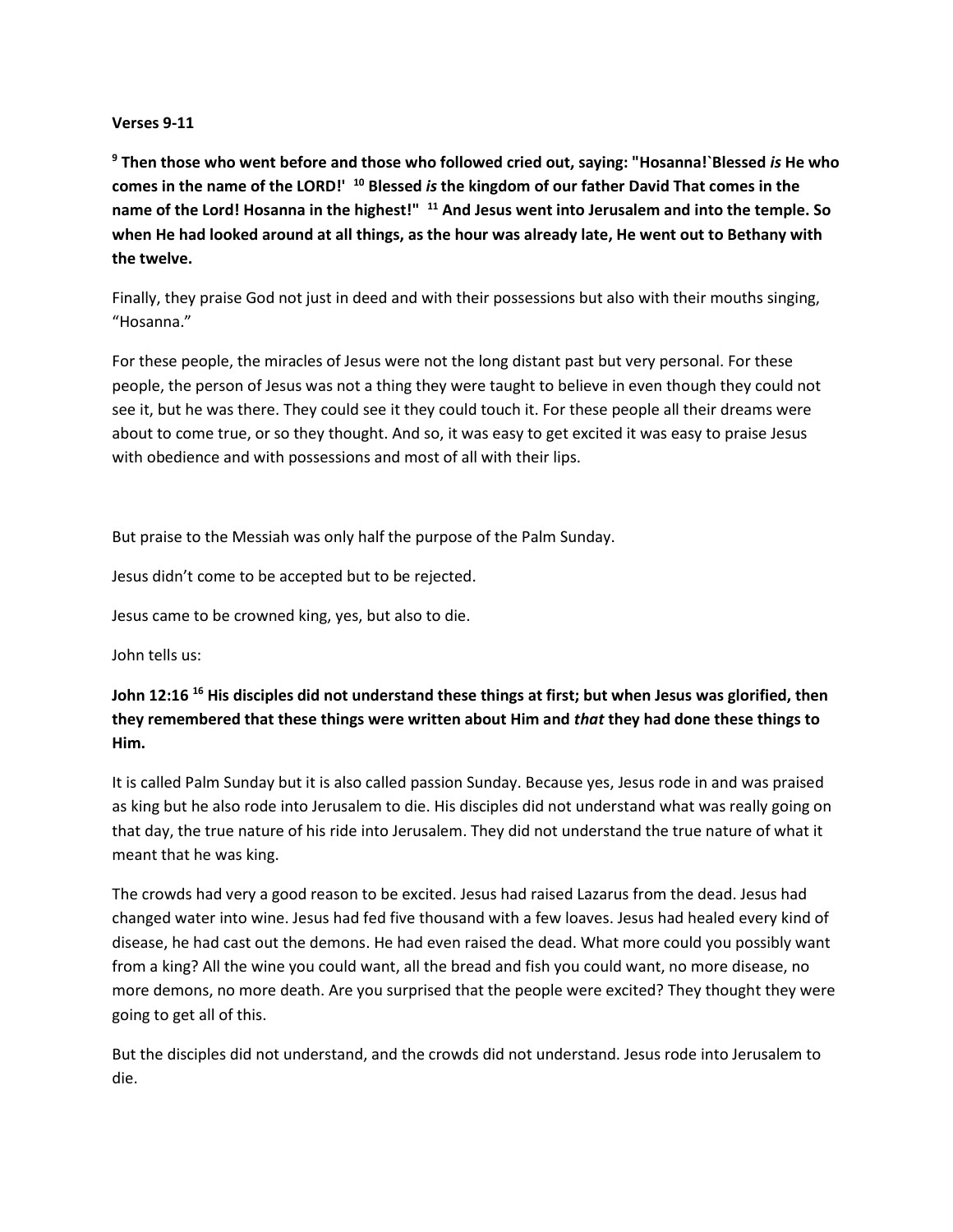#### **Verses 9-11**

**<sup>9</sup> Then those who went before and those who followed cried out, saying: "Hosanna!`Blessed** *is* **He who comes in the name of the LORD!' <sup>10</sup> Blessed** *is* **the kingdom of our father David That comes in the name of the Lord! Hosanna in the highest!" <sup>11</sup> And Jesus went into Jerusalem and into the temple. So when He had looked around at all things, as the hour was already late, He went out to Bethany with the twelve.**

Finally, they praise God not just in deed and with their possessions but also with their mouths singing, "Hosanna."

For these people, the miracles of Jesus were not the long distant past but very personal. For these people, the person of Jesus was not a thing they were taught to believe in even though they could not see it, but he was there. They could see it they could touch it. For these people all their dreams were about to come true, or so they thought. And so, it was easy to get excited it was easy to praise Jesus with obedience and with possessions and most of all with their lips.

But praise to the Messiah was only half the purpose of the Palm Sunday.

Jesus didn't come to be accepted but to be rejected.

Jesus came to be crowned king, yes, but also to die.

John tells us:

## **John 12:16 <sup>16</sup> His disciples did not understand these things at first; but when Jesus was glorified, then they remembered that these things were written about Him and** *that* **they had done these things to Him.**

It is called Palm Sunday but it is also called passion Sunday. Because yes, Jesus rode in and was praised as king but he also rode into Jerusalem to die. His disciples did not understand what was really going on that day, the true nature of his ride into Jerusalem. They did not understand the true nature of what it meant that he was king.

The crowds had very a good reason to be excited. Jesus had raised Lazarus from the dead. Jesus had changed water into wine. Jesus had fed five thousand with a few loaves. Jesus had healed every kind of disease, he had cast out the demons. He had even raised the dead. What more could you possibly want from a king? All the wine you could want, all the bread and fish you could want, no more disease, no more demons, no more death. Are you surprised that the people were excited? They thought they were going to get all of this.

But the disciples did not understand, and the crowds did not understand. Jesus rode into Jerusalem to die.